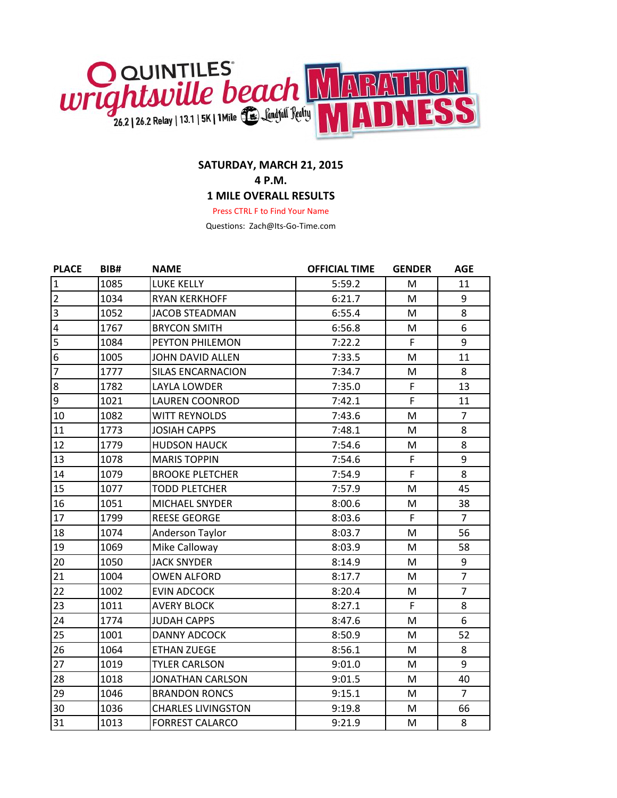

## **SATURDAY, MARCH 21, 2015 4 P.M.**

## **1 MILE OVERALL RESULTS**

Press CTRL F to Find Your Name

Questions: Zach@Its-Go-Time.com

| <b>PLACE</b>            | BIB# | <b>NAME</b>               | <b>OFFICIAL TIME</b> | <b>GENDER</b> | <b>AGE</b>     |
|-------------------------|------|---------------------------|----------------------|---------------|----------------|
| $\mathbf{1}$            | 1085 | <b>LUKE KELLY</b>         | 5:59.2               | M             | 11             |
| $\overline{2}$          | 1034 | <b>RYAN KERKHOFF</b>      | 6:21.7               | M             | 9              |
| $\overline{3}$          | 1052 | <b>JACOB STEADMAN</b>     | 6:55.4               | M             | 8              |
| $\overline{\mathbf{4}}$ | 1767 | <b>BRYCON SMITH</b>       | 6:56.8               | M             | 6              |
| $\overline{5}$          | 1084 | PEYTON PHILEMON           | 7:22.2               | F             | 9              |
| $\overline{6}$          | 1005 | <b>JOHN DAVID ALLEN</b>   | 7:33.5               | M             | 11             |
| $\overline{7}$          | 1777 | <b>SILAS ENCARNACION</b>  | 7:34.7               | M             | 8              |
| $\boldsymbol{8}$        | 1782 | <b>LAYLA LOWDER</b>       | 7:35.0               | $\mathsf F$   | 13             |
| $\overline{9}$          | 1021 | <b>LAUREN COONROD</b>     | 7:42.1               | F             | 11             |
| 10                      | 1082 | <b>WITT REYNOLDS</b>      | 7:43.6               | M             | $\overline{7}$ |
| 11                      | 1773 | <b>JOSIAH CAPPS</b>       | 7:48.1               | M             | 8              |
| 12                      | 1779 | <b>HUDSON HAUCK</b>       | 7:54.6               | M             | 8              |
| 13                      | 1078 | <b>MARIS TOPPIN</b>       | 7:54.6               | $\mathsf{F}$  | 9              |
| 14                      | 1079 | <b>BROOKE PLETCHER</b>    | 7:54.9               | F             | 8              |
| 15                      | 1077 | <b>TODD PLETCHER</b>      | 7:57.9               | M             | 45             |
| 16                      | 1051 | <b>MICHAEL SNYDER</b>     | 8:00.6               | M             | 38             |
| 17                      | 1799 | <b>REESE GEORGE</b>       | 8:03.6               | F             | $\overline{7}$ |
| 18                      | 1074 | Anderson Taylor           | 8:03.7               | M             | 56             |
| 19                      | 1069 | Mike Calloway             | 8:03.9               | M             | 58             |
| 20                      | 1050 | <b>JACK SNYDER</b>        | 8:14.9               | M             | 9              |
| 21                      | 1004 | <b>OWEN ALFORD</b>        | 8:17.7               | M             | $\overline{7}$ |
| 22                      | 1002 | <b>EVIN ADCOCK</b>        | 8:20.4               | M             | $\overline{7}$ |
| 23                      | 1011 | <b>AVERY BLOCK</b>        | 8:27.1               | F             | 8              |
| 24                      | 1774 | <b>JUDAH CAPPS</b>        | 8:47.6               | M             | 6              |
| 25                      | 1001 | <b>DANNY ADCOCK</b>       | 8:50.9               | M             | 52             |
| 26                      | 1064 | <b>ETHAN ZUEGE</b>        | 8:56.1               | M             | 8              |
| 27                      | 1019 | <b>TYLER CARLSON</b>      | 9:01.0               | M             | 9              |
| 28                      | 1018 | <b>JONATHAN CARLSON</b>   | 9:01.5               | M             | 40             |
| 29                      | 1046 | <b>BRANDON RONCS</b>      | 9:15.1               | M             | $\overline{7}$ |
| 30                      | 1036 | <b>CHARLES LIVINGSTON</b> | 9:19.8               | M             | 66             |
| 31                      | 1013 | <b>FORREST CALARCO</b>    | 9:21.9               | M             | 8              |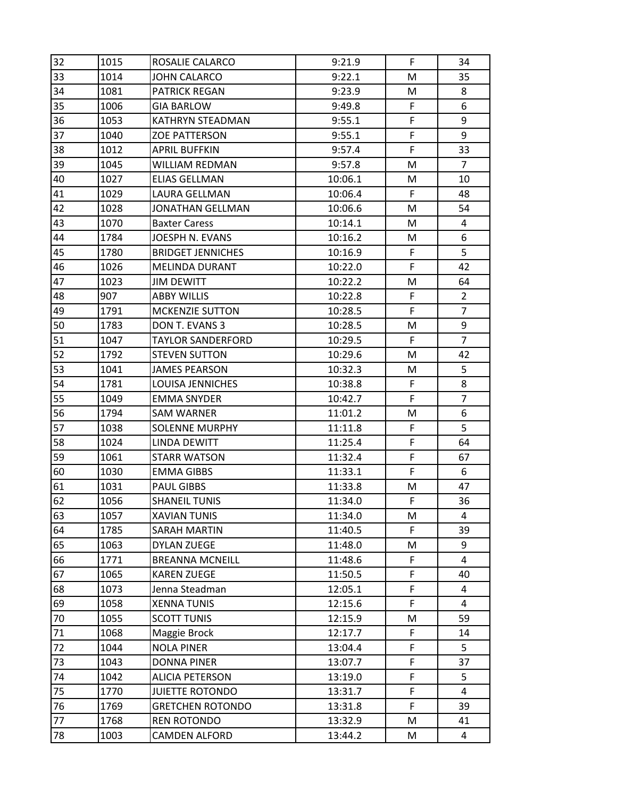| 32 | 1015 | ROSALIE CALARCO          | 9:21.9  | F | 34             |
|----|------|--------------------------|---------|---|----------------|
| 33 | 1014 | <b>JOHN CALARCO</b>      | 9:22.1  | M | 35             |
| 34 | 1081 | <b>PATRICK REGAN</b>     | 9:23.9  | M | 8              |
| 35 | 1006 | <b>GIA BARLOW</b>        | 9:49.8  | F | 6              |
| 36 | 1053 | <b>KATHRYN STEADMAN</b>  | 9:55.1  | F | 9              |
| 37 | 1040 | <b>ZOE PATTERSON</b>     | 9:55.1  | F | 9              |
| 38 | 1012 | <b>APRIL BUFFKIN</b>     | 9:57.4  | F | 33             |
| 39 | 1045 | WILLIAM REDMAN           | 9:57.8  | M | $\overline{7}$ |
| 40 | 1027 | <b>ELIAS GELLMAN</b>     | 10:06.1 | M | 10             |
| 41 | 1029 | LAURA GELLMAN            | 10:06.4 | F | 48             |
| 42 | 1028 | <b>JONATHAN GELLMAN</b>  | 10:06.6 | M | 54             |
| 43 | 1070 | <b>Baxter Caress</b>     | 10:14.1 | M | 4              |
| 44 | 1784 | JOESPH N. EVANS          | 10:16.2 | M | 6              |
| 45 | 1780 | <b>BRIDGET JENNICHES</b> | 10:16.9 | F | 5              |
| 46 | 1026 | <b>MELINDA DURANT</b>    | 10:22.0 | F | 42             |
| 47 | 1023 | <b>JIM DEWITT</b>        | 10:22.2 | M | 64             |
| 48 | 907  | <b>ABBY WILLIS</b>       | 10:22.8 | F | $\overline{2}$ |
| 49 | 1791 | <b>MCKENZIE SUTTON</b>   | 10:28.5 | F | $\overline{7}$ |
| 50 | 1783 | DON T. EVANS 3           | 10:28.5 | M | 9              |
| 51 | 1047 | <b>TAYLOR SANDERFORD</b> | 10:29.5 | F | $\overline{7}$ |
| 52 | 1792 | <b>STEVEN SUTTON</b>     | 10:29.6 | M | 42             |
| 53 | 1041 | <b>JAMES PEARSON</b>     | 10:32.3 | M | 5              |
| 54 | 1781 | <b>LOUISA JENNICHES</b>  | 10:38.8 | F | 8              |
| 55 | 1049 | <b>EMMA SNYDER</b>       | 10:42.7 | F | $\overline{7}$ |
| 56 | 1794 | SAM WARNER               | 11:01.2 | M | 6              |
| 57 | 1038 | <b>SOLENNE MURPHY</b>    | 11:11.8 | F | 5              |
| 58 | 1024 | <b>LINDA DEWITT</b>      | 11:25.4 | F | 64             |
| 59 | 1061 | <b>STARR WATSON</b>      | 11:32.4 | F | 67             |
| 60 | 1030 | <b>EMMA GIBBS</b>        | 11:33.1 | F | 6              |
| 61 | 1031 | PAUL GIBBS               | 11:33.8 | M | 47             |
| 62 | 1056 | <b>SHANEIL TUNIS</b>     | 11:34.0 | F | 36             |
| 63 | 1057 | <b>XAVIAN TUNIS</b>      | 11:34.0 | M | 4              |
| 64 | 1785 | <b>SARAH MARTIN</b>      | 11:40.5 | F | 39             |
| 65 | 1063 | DYLAN ZUEGE              | 11:48.0 | M | 9              |
| 66 | 1771 | <b>BREANNA MCNEILL</b>   | 11:48.6 | F | 4              |
| 67 | 1065 | <b>KAREN ZUEGE</b>       | 11:50.5 | F | 40             |
| 68 | 1073 | Jenna Steadman           | 12:05.1 | F | 4              |
| 69 | 1058 | <b>XENNA TUNIS</b>       | 12:15.6 | F | 4              |
| 70 | 1055 | <b>SCOTT TUNIS</b>       | 12:15.9 | M | 59             |
| 71 | 1068 | Maggie Brock             | 12:17.7 | F | 14             |
| 72 | 1044 | <b>NOLA PINER</b>        | 13:04.4 | F | 5              |
| 73 | 1043 | <b>DONNA PINER</b>       | 13:07.7 | F | 37             |
| 74 | 1042 | <b>ALICIA PETERSON</b>   | 13:19.0 | F | 5              |
| 75 | 1770 | <b>JUIETTE ROTONDO</b>   | 13:31.7 | F | 4              |
| 76 | 1769 | <b>GRETCHEN ROTONDO</b>  | 13:31.8 | F | 39             |
| 77 | 1768 | <b>REN ROTONDO</b>       | 13:32.9 | M | 41             |
| 78 | 1003 | <b>CAMDEN ALFORD</b>     | 13:44.2 | M | 4              |